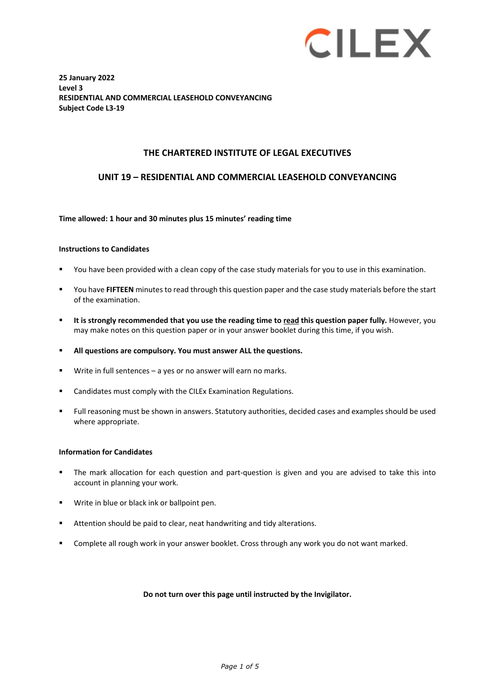

**25 January 2022 Level 3 RESIDENTIAL AND COMMERCIAL LEASEHOLD CONVEYANCING Subject Code L3-19**

#### **THE CHARTERED INSTITUTE OF LEGAL EXECUTIVES**

#### **UNIT 19 – RESIDENTIAL AND COMMERCIAL LEASEHOLD CONVEYANCING**

#### **Time allowed: 1 hour and 30 minutes plus 15 minutes' reading time**

#### **Instructions to Candidates**

- You have been provided with a clean copy of the case study materials for you to use in this examination.
- You have **FIFTEEN** minutes to read through this question paper and the case study materials before the start of the examination.
- **It is strongly recommended that you use the reading time to read this question paper fully.** However, you may make notes on this question paper or in your answer booklet during this time, if you wish.
- **All questions are compulsory. You must answer ALL the questions.**
- Write in full sentences a yes or no answer will earn no marks.
- Candidates must comply with the CILEx Examination Regulations.
- Full reasoning must be shown in answers. Statutory authorities, decided cases and examples should be used where appropriate.

#### **Information for Candidates**

- The mark allocation for each question and part-question is given and you are advised to take this into account in planning your work.
- **Write in blue or black ink or ballpoint pen.**
- Attention should be paid to clear, neat handwriting and tidy alterations.
- Complete all rough work in your answer booklet. Cross through any work you do not want marked.

#### **Do not turn over this page until instructed by the Invigilator.**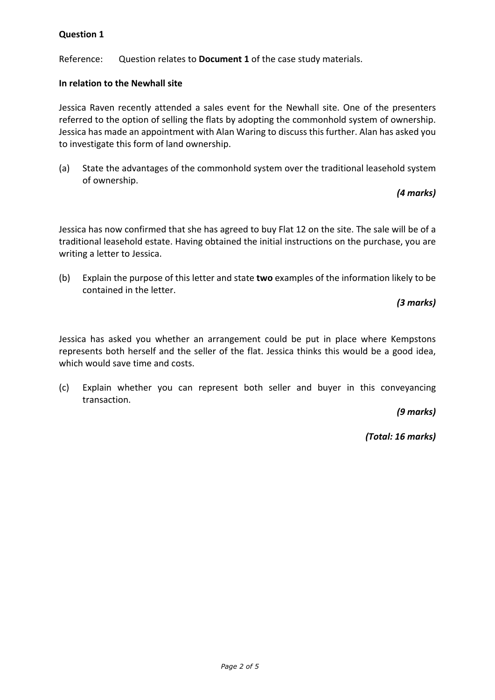Reference: Question relates to **Document 1** of the case study materials.

### **In relation to the Newhall site**

Jessica Raven recently attended a sales event for the Newhall site. One of the presenters referred to the option of selling the flats by adopting the commonhold system of ownership. Jessica has made an appointment with Alan Waring to discuss this further. Alan has asked you to investigate this form of land ownership.

(a) State the advantages of the commonhold system over the traditional leasehold system of ownership.

*(4 marks)*

Jessica has now confirmed that she has agreed to buy Flat 12 on the site. The sale will be of a traditional leasehold estate. Having obtained the initial instructions on the purchase, you are writing a letter to Jessica.

(b) Explain the purpose of this letter and state **two** examples of the information likely to be contained in the letter.

*(3 marks)*

Jessica has asked you whether an arrangement could be put in place where Kempstons represents both herself and the seller of the flat. Jessica thinks this would be a good idea, which would save time and costs.

(c) Explain whether you can represent both seller and buyer in this conveyancing transaction.

*(9 marks)*

*(Total: 16 marks)*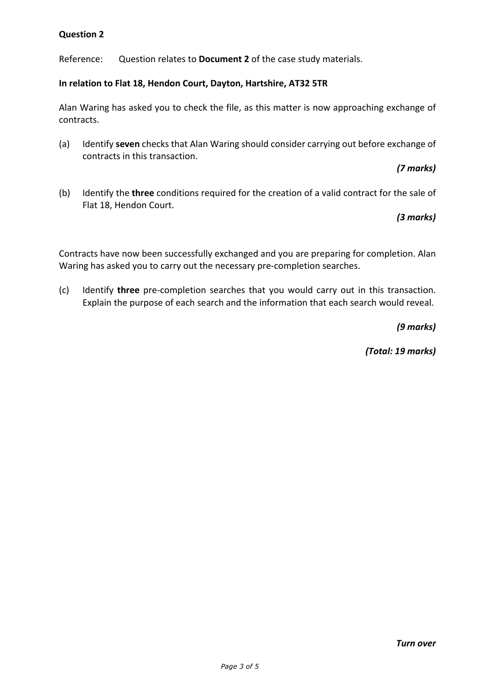Reference: Question relates to **Document 2** of the case study materials.

### **In relation to Flat 18, Hendon Court, Dayton, Hartshire, AT32 5TR**

Alan Waring has asked you to check the file, as this matter is now approaching exchange of contracts.

(a) Identify **seven** checks that Alan Waring should consider carrying out before exchange of contracts in this transaction.

### *(7 marks)*

(b) Identify the **three** conditions required for the creation of a valid contract for the sale of Flat 18, Hendon Court.

# *(3 marks)*

Contracts have now been successfully exchanged and you are preparing for completion. Alan Waring has asked you to carry out the necessary pre-completion searches.

(c) Identify **three** pre-completion searches that you would carry out in this transaction. Explain the purpose of each search and the information that each search would reveal.

*(9 marks)*

*(Total: 19 marks)*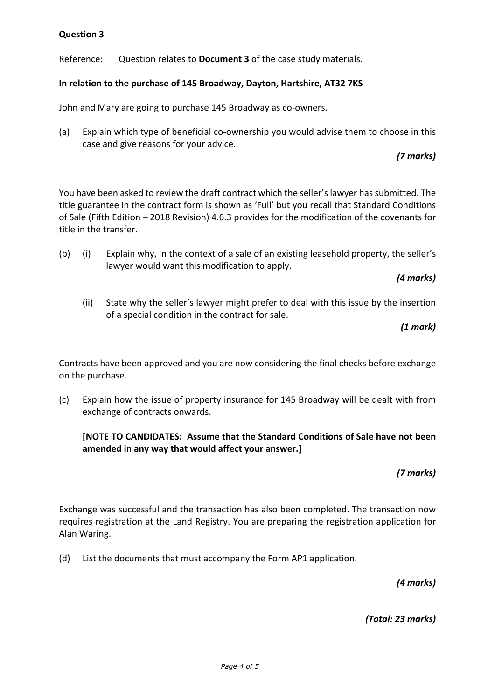Reference: Question relates to **Document 3** of the case study materials.

## **In relation to the purchase of 145 Broadway, Dayton, Hartshire, AT32 7KS**

John and Mary are going to purchase 145 Broadway as co-owners.

(a) Explain which type of beneficial co-ownership you would advise them to choose in this case and give reasons for your advice.

# *(7 marks)*

You have been asked to review the draft contract which the seller's lawyer has submitted. The title guarantee in the contract form is shown as 'Full' but you recall that Standard Conditions of Sale (Fifth Edition – 2018 Revision) 4.6.3 provides for the modification of the covenants for title in the transfer.

(b) (i) Explain why, in the context of a sale of an existing leasehold property, the seller's lawyer would want this modification to apply.

*(4 marks)*

(ii) State why the seller's lawyer might prefer to deal with this issue by the insertion of a special condition in the contract for sale.

*(1 mark)*

Contracts have been approved and you are now considering the final checks before exchange on the purchase.

(c) Explain how the issue of property insurance for 145 Broadway will be dealt with from exchange of contracts onwards.

**[NOTE TO CANDIDATES: Assume that the Standard Conditions of Sale have not been amended in any way that would affect your answer.]**

*(7 marks)*

Exchange was successful and the transaction has also been completed. The transaction now requires registration at the Land Registry. You are preparing the registration application for Alan Waring.

(d) List the documents that must accompany the Form AP1 application.

*(4 marks)*

*(Total: 23 marks)*